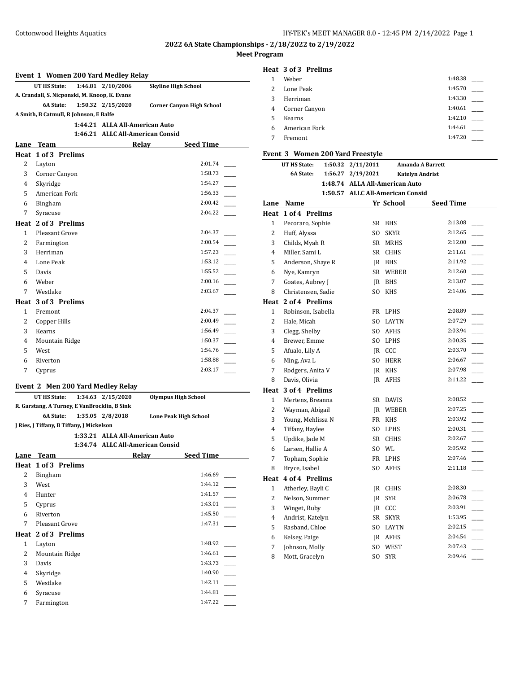# **2022 6A State Championships - 2/18/2022 to 2/19/2022**

## **Meet Program**

#### **Event 1 Women 200 Yard Medley Relay**

|                                | UT HS State:                                  |  | 1:46.81 2/10/2006 | <b>Skyline High School</b>       |  |
|--------------------------------|-----------------------------------------------|--|-------------------|----------------------------------|--|
|                                | A. Crandall, S. Nicponski, M. Knoop, K. Evans |  |                   |                                  |  |
|                                | <b>6A State:</b>                              |  | 1:50.32 2/15/2020 | <b>Corner Canyon High School</b> |  |
|                                | A Smith, B Catmull, R Johnson, E Balfe        |  |                   |                                  |  |
| 1:44.21 ALLA All-American Auto |                                               |  |                   |                                  |  |
|                                |                                               |  |                   | 1:46.21 ALLC All-American Consid |  |

# **Lane Team Relay Seed Time Heat 1 of 3 Prelims** 2 Layton 2:01.74 \_\_\_\_\_ 3 Corner Canyon 1:58.73 \_\_\_\_\_ 4 Skyridge 1:54.27 5 American Fork 1:56.33 6 Bingham 2:00.42 \_\_\_\_\_ 7 Syracuse 2:04.22 2:04.22 **Heat 2 of 3 Prelims** 1 Pleasant Grove 2:04.37 2 Farmington 2:00.54 3 Herriman 1:57.23 \_\_\_\_\_ 4 Lone Peak 1:53.12 \_\_\_\_\_ 5 Davis 1:55.52 \_\_\_\_\_ 6 Weber 2:00.16 \_\_\_\_\_ 7 Westlake 2:03.67 **Heat 3 of 3 Prelims** 1 Fremont 2:04.37 2 Copper Hills 2:00.49 3 Kearns 1:56.49 <u>\_\_\_\_\_</u> 4 Mountain Ridge 1:50.37 5 West 1:54.76 2 6 Riverton 1:58.88 \_\_\_\_\_ 7 Cyprus 2:03.17 \_\_\_\_\_ **Event 2 Men 200 Yard Medley Relay UT HS State: 1:34.63 2/15/2020 Olympus High School R. Garstang, A Turney, E VanBrocklin, B Sink 6A State: 1:35.05 2/8/2018 Lone Peak High School J Ries, J Tiffany, B Tiffany, J Mickelson 1:33.21 ALLA All-American Auto 1:34.74 ALLC All-American Consid Lane Team Relay Seed Time Heat 1 of 3 Prelims** 2 Bingham 1:46.69 3 West 1:44.12 \_\_\_\_\_ 4 Hunter 1:41.57 5 Cyprus 1:43.01 \_\_\_\_\_ 6 Riverton 1:45.50 \_\_\_\_\_ 7 Pleasant Grove 1:47.31 \_\_\_\_\_

|   | Heat 2 of 3 Prelims |         |
|---|---------------------|---------|
|   | Layton              | 1:48.92 |
| 2 | Mountain Ridge      | 1:46.61 |
| 3 | Davis               | 1:43.73 |
| 4 | Skyridge            | 1:40.90 |
| 5 | Westlake            | 1:42.11 |
| 6 | Syracuse            | 1:44.81 |
|   | Farmington          | 1:47.22 |

#### **Heat 3 of 3 Prelims**

| Weber         | 1:48.38 |  |
|---------------|---------|--|
| Lone Peak     | 1:45.70 |  |
| Herriman      | 1:43.30 |  |
| Corner Canyon | 1:40.61 |  |
| Kearns        | 1:42.10 |  |
| American Fork | 1:44.61 |  |
| Fremont       | 1:47.20 |  |
|               |         |  |

## **Event 3 Women 200 Yard Freestyle**

|                | UT HS State:        | 1:50.32 | 2/11/2011                        |                 | <b>Amanda A Barrett</b> |  |
|----------------|---------------------|---------|----------------------------------|-----------------|-------------------------|--|
|                | 6A State:           | 1:56.27 | 2/19/2021                        |                 | <b>Katelyn Andrist</b>  |  |
|                |                     |         | 1:48.74 ALLA All-American Auto   |                 |                         |  |
|                |                     |         | 1:50.57 ALLC All-American Consid |                 |                         |  |
| Lane           | Name                |         |                                  | Yr School       | <b>Seed Time</b>        |  |
| Heat           | 1 of 4 Prelims      |         |                                  |                 |                         |  |
| $\mathbf{1}$   | Pecoraro, Sophie    |         |                                  | SR BHS          | 2:13.08                 |  |
| 2              | Huff, Alyssa        |         |                                  | SO SKYR         | 2:12.65                 |  |
| 3              | Childs, Myah R      |         |                                  | SR MRHS         | 2:12.00                 |  |
| $\overline{4}$ | Miller, Sami L      |         |                                  | SR CHHS         | 2:11.61                 |  |
| 5              | Anderson, Shaye R   |         |                                  | IR BHS          | 2:11.92                 |  |
| 6              | Nye, Kamryn         |         |                                  | SR WEBER        | 2:12.60                 |  |
| 7              | Goates, Aubrey J    |         |                                  | IR BHS          | 2:13.07                 |  |
| 8              | Christensen, Sadie  |         |                                  | SO KHS          | 2:14.06                 |  |
|                | Heat 2 of 4 Prelims |         |                                  |                 |                         |  |
| $\mathbf{1}$   | Robinson, Isabella  |         |                                  | FR LPHS         | 2:08.89                 |  |
| 2              | Hale, Micah         |         |                                  | SO LAYTN        | 2:07.29                 |  |
| 3              | Clegg, Shelby       |         |                                  | SO AFHS         | 2:03.94                 |  |
| 4              | Brewer, Emme        |         |                                  | SO LPHS         | 2:00.35                 |  |
| 5              | Afualo, Lily A      |         |                                  | JR CCC          | 2:03.70                 |  |
| 6              | Ming, Ava L         |         |                                  | SO HERR         | 2:06.67                 |  |
| 7              | Rodgers, Anita V    |         |                                  | JR KHS          | 2:07.98                 |  |
| 8              | Davis, Olivia       |         |                                  | JR AFHS         | 2:11.22                 |  |
| Heat           | 3 of 4 Prelims      |         |                                  |                 |                         |  |
| 1              | Mertens, Breanna    |         |                                  | SR DAVIS        | 2:08.52                 |  |
| 2              | Wayman, Abigail     |         |                                  | <b>IR WEBER</b> | 2:07.25                 |  |
| 3              | Young, Mehlissa N   |         |                                  | FR KHS          | 2:03.92                 |  |
| 4              | Tiffany, Haylee     |         |                                  | SO LPHS         | 2:00.31                 |  |
| 5              | Updike, Jade M      |         |                                  | SR CHHS         | 2:02.67                 |  |
| 6              | Larsen, Hallie A    |         |                                  | SO WL           | 2:05.92                 |  |
| 7              | Topham, Sophie      |         |                                  | FR LPHS         | 2:07.46                 |  |
| 8              | Bryce, Isabel       |         | SO.                              | AFHS            | 2:11.18                 |  |
| Heat           | 4 of 4 Prelims      |         |                                  |                 |                         |  |
| 1              | Atherley, Bayli C   |         |                                  | JR CHHS         | 2:08.30                 |  |
| 2              | Nelson, Summer      |         |                                  | JR SYR          | 2:06.78                 |  |
| 3              | Winget, Ruby        |         |                                  | JR CCC          | 2:03.91                 |  |
| 4              | Andrist, Katelyn    |         |                                  | SR SKYR         | 1:53.95                 |  |
| 5              | Rasband, Chloe      |         |                                  | SO LAYTN        | 2:02.15                 |  |
| 6              | Kelsey, Paige       |         |                                  | JR AFHS         | 2:04.54                 |  |
| 7              | Johnson, Molly      |         | SO                               | WEST            | 2:07.43                 |  |
| 8              | Mott, Gracelyn      |         | SO.                              | <b>SYR</b>      | 2:09.46                 |  |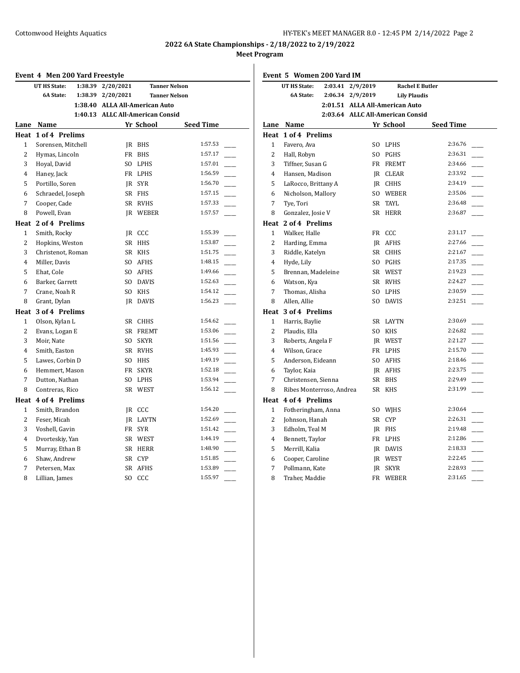| Event 4 Men 200 Yard Freestyle |                         |                                  |                 |                      |  |
|--------------------------------|-------------------------|----------------------------------|-----------------|----------------------|--|
|                                | UT HS State:<br>1:38.39 | 2/20/2021                        |                 | <b>Tanner Nelson</b> |  |
|                                | 6A State:<br>1:38.39    | 2/20/2021                        |                 | <b>Tanner Nelson</b> |  |
|                                |                         | 1:38.40 ALLA All-American Auto   |                 |                      |  |
|                                |                         | 1:40.13 ALLC All-American Consid |                 |                      |  |
|                                | Lane Name               |                                  | Yr School       | <b>Seed Time</b>     |  |
| Heat                           | 1 of 4 Prelims          |                                  |                 |                      |  |
| 1                              | Sorensen, Mitchell      |                                  | IR BHS          | 1:57.53              |  |
| $\overline{2}$                 | Hymas, Lincoln          | <b>FR</b>                        | <b>BHS</b>      | 1:57.17              |  |
| 3                              | Hoyal, David            |                                  | SO LPHS         | 1:57.01              |  |
| 4                              | Haney, Jack             |                                  | FR LPHS         | 1:56.59              |  |
| 5                              | Portillo, Soren         |                                  | IR SYR          | 1:56.70              |  |
| 6                              | Schraedel, Joseph       |                                  | SR FHS          | 1:57.15              |  |
| 7                              | Cooper, Cade            |                                  | SR RVHS         | 1:57.33              |  |
| 8                              | Powell, Evan            |                                  | <b>IR WEBER</b> | 1:57.57              |  |
| Heat                           | 2 of 4 Prelims          |                                  |                 |                      |  |
| 1                              | Smith, Rocky            |                                  | JR CCC          | 1:55.39              |  |
| 2                              | Hopkins, Weston         |                                  | SR HHS          | 1:53.87              |  |
| 3                              | Christenot, Roman       |                                  | SR KHS          | 1:51.75              |  |
| 4                              | Miller, Davis           |                                  | SO AFHS         | 1:48.15              |  |
| 5                              | Ehat, Cole              | SO.                              | AFHS            | 1:49.66              |  |
| 6                              | Barker, Garrett         |                                  | SO DAVIS        | 1:52.63              |  |
| 7                              | Crane, Noah R           | SO.                              | KHS             | 1:54.12              |  |
| 8                              | Grant, Dylan            | IR                               | <b>DAVIS</b>    | 1:56.23              |  |
| Heat                           | 3 of 4 Prelims          |                                  |                 |                      |  |
| $\mathbf{1}$                   | Olson, Kylan L          |                                  | SR CHHS         | 1:54.62              |  |
| 2                              | Evans, Logan E          | SR                               | <b>FREMT</b>    | 1:53.06              |  |
| 3                              | Moir, Nate              | SO.                              | SKYR            | 1:51.56              |  |
| 4                              | Smith, Easton           |                                  | SR RVHS         | 1:45.93              |  |
| 5                              | Lawes, Corbin D         | SO.                              | HHS             | 1:49.19              |  |
| 6                              | Hemmert, Mason          |                                  | FR SKYR         | 1:52.18              |  |
| 7                              | Dutton, Nathan          | SO.                              | LPHS            | 1:53.94              |  |
| 8                              | Contreras, Rico         | SR                               | WEST            | 1:56.12              |  |
|                                | Heat 4 of 4 Prelims     |                                  |                 |                      |  |
| 1                              | Smith, Brandon          |                                  | IR CCC          | 1:54.20              |  |
| $\overline{2}$                 | Feser, Micah            |                                  | JR LAYTN        | 1:52.69              |  |
| 3                              | Voshell, Gavin          |                                  | FR SYR          | 1:51.42              |  |
| 4                              | Dvorteskiy, Yan         |                                  | SR WEST         | 1:44.19              |  |
| 5                              | Murray, Ethan B         |                                  | SR HERR         | 1:48.90              |  |
| 6                              | Shaw, Andrew            | SR -                             | <b>CYP</b>      | 1:51.85              |  |
| 7                              | Petersen, Max           | SR                               | <b>AFHS</b>     | 1:53.89              |  |
| 8                              | Lillian, James          | S <sub>O</sub>                   | CCC             | 1:55.97              |  |

| Event 5 Women 200 Yard IM |                          |                                  |                        |                  |  |
|---------------------------|--------------------------|----------------------------------|------------------------|------------------|--|
|                           | <b>UT HS State:</b>      | 2:03.41 2/9/2019                 | <b>Rachel E Butler</b> |                  |  |
|                           | <b>6A State:</b>         | 2/9/2019<br>2:06.34              | <b>Lily Plaudis</b>    |                  |  |
|                           |                          | 2:01.51 ALLA All-American Auto   |                        |                  |  |
|                           |                          | 2:03.64 ALLC All-American Consid |                        |                  |  |
|                           | Lane Name                |                                  | Yr School              | <b>Seed Time</b> |  |
|                           | Heat 1 of 4 Prelims      |                                  |                        |                  |  |
| $\mathbf{1}$              | Favero, Ava              |                                  | SO LPHS                | 2:36.76          |  |
| 2                         | Hall, Robyn              | S <sub>O</sub>                   | PGHS                   | 2:36.31          |  |
| 3                         | Tiffner, Susan G         |                                  | FR FREMT               | 2:34.66          |  |
| $\overline{4}$            | Hansen, Madison          |                                  | IR CLEAR               | 2:33.92          |  |
| 5                         | LaRocco, Brittany A      |                                  | IR CHHS                | 2:34.19          |  |
| 6                         | Nicholson, Mallory       |                                  | SO WEBER               | 2:35.06          |  |
| 7                         | Tye, Tori                |                                  | SR TAYL                | 2:36.48          |  |
| 8                         | Gonzalez, Josie V        | SR                               | HERR                   | 2:36.87          |  |
| Heat                      | 2 of 4 Prelims           |                                  |                        |                  |  |
| 1                         | Walker, Halle            |                                  | FR CCC                 | 2:31.17          |  |
| 2                         | Harding, Emma            |                                  | IR AFHS                | 2:27.66          |  |
| 3                         | Riddle, Katelyn          |                                  | SR CHHS                | 2:21.67          |  |
| $\overline{4}$            | Hyde, Lily               |                                  | SO PGHS                | 2:17.35          |  |
| 5                         | Brennan, Madeleine       |                                  | SR WEST                | 2:19.23          |  |
| 6                         | Watson, Kya              |                                  | SR RVHS                | 2:24.27          |  |
| 7                         | Thomas, Alisha           |                                  | SO LPHS                | 2:30.59          |  |
| 8                         | Allen, Allie             | SO.                              | DAVIS                  | 2:32.51          |  |
|                           | Heat 3 of 4 Prelims      |                                  |                        |                  |  |
| $\mathbf{1}$              | Harris, Baylie           |                                  | SR LAYTN               | 2:30.69          |  |
| 2                         | Plaudis, Ella            | SO.                              | KHS                    | 2:26.82          |  |
| 3                         | Roberts, Angela F        |                                  | <b>IR WEST</b>         | 2:21.27          |  |
| $\overline{4}$            | Wilson, Grace            |                                  | FR LPHS                | 2:15.70          |  |
| 5                         | Anderson, Eideann        |                                  | SO AFHS                | 2:18.46          |  |
| 6                         | Taylor, Kaia             |                                  | IR AFHS                | 2:23.75          |  |
| 7                         | Christensen, Sienna      |                                  | SR BHS                 | 2:29.49          |  |
| 8                         | Ribes Monterroso, Andrea | SR                               | <b>KHS</b>             | 2:31.99          |  |
|                           | Heat 4 of 4 Prelims      |                                  |                        |                  |  |
| 1                         | Fotheringham, Anna       |                                  | SO WJHS                | 2:30.64          |  |
| 2                         | Johnson, Hanah           |                                  | SR CYP                 | 2:26.31          |  |
| 3                         | Edholm, Teal M           |                                  | JR FHS                 | 2:19.48          |  |
| $\overline{4}$            | Bennett, Taylor          |                                  | FR LPHS                | 2:12.86          |  |
| 5                         | Merrill, Kalia           |                                  | JR DAVIS               | 2:18.33          |  |
| 6                         | Cooper, Caroline         |                                  | JR WEST                | 2:22.45          |  |
| 7                         | Pollmann, Kate           | IR                               | <b>SKYR</b>            | 2:28.93          |  |
| 8                         | Traher, Maddie           | FR                               | WEBER                  | 2:31.65          |  |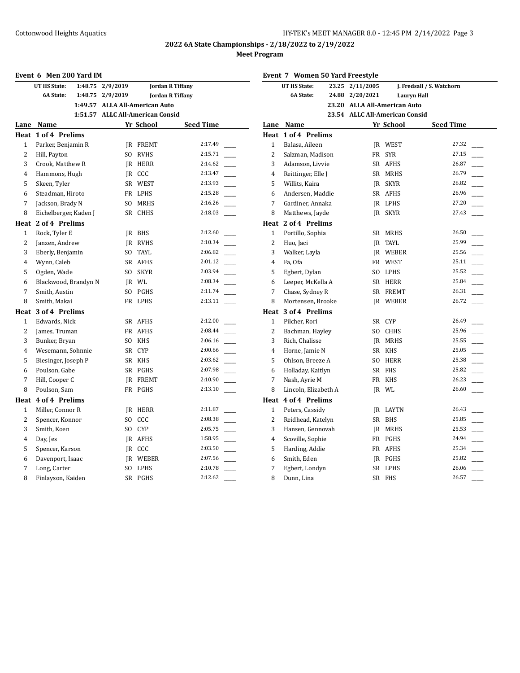| Event 6 Men 200 Yard IM |                                     |                                  |                            |                         |  |
|-------------------------|-------------------------------------|----------------------------------|----------------------------|-------------------------|--|
|                         | UT HS State:<br>1:48.75             | 2/9/2019                         |                            | <b>Jordan R Tiffany</b> |  |
|                         | 6A State:<br>1:48.75                | 2/9/2019                         |                            | <b>Jordan R Tiffany</b> |  |
|                         | 1:49.57                             | <b>ALLA All-American Auto</b>    |                            |                         |  |
|                         |                                     | 1:51.57 ALLC All-American Consid |                            |                         |  |
|                         | Lane Name                           |                                  | Yr School                  | <b>Seed Time</b>        |  |
|                         | Heat 1 of 4 Prelims                 |                                  |                            |                         |  |
| 1                       | Parker, Benjamin R                  | IR                               | <b>FREMT</b>               | 2:17.49                 |  |
| $\overline{c}$          | Hill, Payton                        | SO.                              | <b>RVHS</b>                | 2:15.71                 |  |
| 3                       | Crook, Matthew R                    |                                  | <b>IR HERR</b>             | 2:14.62                 |  |
| 4                       | Hammons, Hugh                       |                                  | JR CCC                     | 2:13.47                 |  |
| 5                       | Skeen, Tyler                        |                                  | SR WEST                    | 2:13.93                 |  |
| 6                       | Steadman, Hiroto                    |                                  | FR LPHS                    | 2:15.28                 |  |
| 7                       | Jackson, Brady N                    |                                  | SO MRHS                    | 2:16.26                 |  |
| 8                       | Eichelberger, Kaden J               |                                  | SR CHHS                    | 2:18.03                 |  |
|                         | Heat 2 of 4 Prelims                 |                                  |                            |                         |  |
| 1                       | Rock, Tyler E                       |                                  | JR BHS                     | 2:12.60                 |  |
| 2                       | Janzen, Andrew                      |                                  | IR RVHS                    | 2:10.34                 |  |
| 3                       | Eberly, Benjamin                    |                                  | SO TAYL                    | 2:06.82                 |  |
| 4                       | Wynn, Caleb                         |                                  | SR AFHS                    | 2:01.12                 |  |
| 5                       | Ogden, Wade                         |                                  | SO SKYR                    | 2:03.94                 |  |
| 6                       | Blackwood, Brandyn N                |                                  | IR WL                      | 2:08.34                 |  |
| 7                       | Smith, Austin                       |                                  | SO PGHS                    | 2:11.74                 |  |
| 8                       | Smith, Makai                        |                                  | FR LPHS                    | 2:13.11                 |  |
|                         | Heat 3 of 4 Prelims                 |                                  |                            |                         |  |
| 1                       | Edwards, Nick                       |                                  | SR AFHS                    | 2:12.00                 |  |
| $\overline{2}$          | James, Truman                       |                                  | FR AFHS                    | 2:08.44                 |  |
| 3                       | Bunker, Bryan                       | SO -                             | <b>KHS</b>                 | 2:06.16<br>2:00.66      |  |
| $\overline{4}$          | Wesemann, Sohnnie                   |                                  | SR CYP                     | 2:03.62                 |  |
| 5                       | Biesinger, Joseph P                 |                                  | SR KHS                     | 2:07.98                 |  |
| 6                       | Poulson, Gabe                       |                                  | SR PGHS                    | 2:10.90                 |  |
| 7<br>8                  | Hill, Cooper C                      |                                  | <b>IR FREMT</b><br>FR PGHS | 2:13.10                 |  |
|                         | Poulson, Sam<br>Heat 4 of 4 Prelims |                                  |                            |                         |  |
| $\mathbf{1}$            |                                     |                                  |                            | 2:11.87                 |  |
| 2                       | Miller, Connor R<br>Spencer, Konnor | SO.                              | <b>IR HERR</b><br>CCC      | 2:08.38                 |  |
| 3                       | Smith, Koen                         | SO.                              | <b>CYP</b>                 | 2:05.75                 |  |
| 4                       | Day, Jes                            |                                  | IR AFHS                    | 1:58.95                 |  |
| 5                       | Spencer, Karson                     |                                  | JR CCC                     | 2:03.50                 |  |
| 6                       | Davenport, Isaac                    |                                  | <b>IR WEBER</b>            | 2:07.56                 |  |
| 7                       | Long, Carter                        | SO.                              | LPHS                       | 2:10.78                 |  |
| 8                       | Finlayson, Kaiden                   |                                  | SR PGHS                    | 2:12.62                 |  |
|                         |                                     |                                  |                            |                         |  |

| Event 7 Women 50 Yard Freestyle |                            |       |                                |                    |                                   |  |
|---------------------------------|----------------------------|-------|--------------------------------|--------------------|-----------------------------------|--|
|                                 | UT HS State:               | 23.25 | 2/11/2005                      |                    | J. Fredsall / S. Watchorn         |  |
|                                 | 6A State:                  |       | 24.88 2/20/2021                | <b>Lauryn Hall</b> |                                   |  |
|                                 |                            |       | 23.20 ALLA All-American Auto   |                    |                                   |  |
|                                 |                            |       | 23.54 ALLC All-American Consid |                    |                                   |  |
|                                 | Lane Name                  |       |                                | Yr School          | <b>Seed Time</b>                  |  |
|                                 | <b>Heat 1 of 4 Prelims</b> |       |                                |                    |                                   |  |
| 1                               | Balasa, Aileen             |       |                                | <b>IR WEST</b>     | 27.32                             |  |
| $\overline{2}$                  | Salzman, Madison           |       |                                | FR SYR             | 27.15                             |  |
| 3                               | Adamson, Livvie            |       |                                | SR AFHS            | 26.87                             |  |
| 4                               | Reittinger, Elle J         |       |                                | SR MRHS            | 26.79                             |  |
| 5                               | Willits, Kaira             |       |                                | <b>IR SKYR</b>     | 26.82                             |  |
| 6                               | Andersen, Maddie           |       |                                | SR AFHS            | 26.96                             |  |
| 7                               | Gardiner, Annaka           |       |                                | IR LPHS            | 27.20                             |  |
| 8                               | Matthews, Jayde            |       |                                | JR SKYR            | 27.43                             |  |
|                                 | Heat 2 of 4 Prelims        |       |                                |                    |                                   |  |
| 1                               | Portillo, Sophia           |       |                                | SR MRHS            | 26.50                             |  |
| 2                               | Huo, Jaci                  |       |                                | JR TAYL            | 25.99                             |  |
| 3                               | Walker, Layla              |       |                                | <b>IR WEBER</b>    | 25.56                             |  |
| $\overline{4}$                  | Fa, Ofa                    |       |                                | FR WEST            | 25.11                             |  |
| 5                               | Egbert, Dylan              |       |                                | SO LPHS            | 25.52<br>$\overline{\phantom{a}}$ |  |
| 6                               | Leeper, McKella A          |       |                                | SR HERR            | 25.84                             |  |
| 7                               | Chase, Sydney R            |       |                                | SR FREMT           | 26.31                             |  |
| 8                               | Mortensen, Brooke          |       |                                | <b>IR WEBER</b>    | 26.72                             |  |
|                                 | Heat 3 of 4 Prelims        |       |                                |                    |                                   |  |
| 1                               | Pilcher, Rori              |       |                                | SR CYP             | 26.49                             |  |
| 2                               | Bachman, Hayley            |       |                                | SO CHHS            | 25.96                             |  |
| 3                               | Rich, Chalisse             |       |                                | <b>IR MRHS</b>     | 25.55                             |  |
| $\overline{4}$                  | Horne, Jamie N             |       |                                | SR KHS             | 25.05                             |  |
| 5                               | Ohlson, Breeze A           |       |                                | SO HERR            | 25.38                             |  |
| 6                               | Holladay, Kaitlyn          |       |                                | SR FHS             | 25.82                             |  |
| 7                               | Nash, Ayrie M              |       |                                | FR KHS             | 26.23                             |  |
| 8                               | Lincoln, Elizabeth A       |       |                                | IR WL              | 26.60                             |  |
|                                 | Heat 4 of 4 Prelims        |       |                                |                    |                                   |  |
| 1                               | Peters, Cassidy            |       |                                | JR LAYTN           | 26.43                             |  |
| 2                               | Reidhead, Katelyn          |       |                                | SR BHS             | 25.85                             |  |
| 3                               | Hansen, Gennovah           |       |                                | <b>IR MRHS</b>     | 25.53                             |  |
| $\overline{4}$                  | Scoville, Sophie           |       |                                | FR PGHS            | 24.94                             |  |
| 5                               | Harding, Addie             |       |                                | FR AFHS            | 25.34                             |  |
| 6                               | Smith, Eden                |       |                                | IR PGHS            | 25.82                             |  |
| 7                               | Egbert, Londyn             |       |                                | SR LPHS            | 26.06                             |  |
| 8                               | Dunn, Lina                 |       |                                | SR FHS             | 26.57                             |  |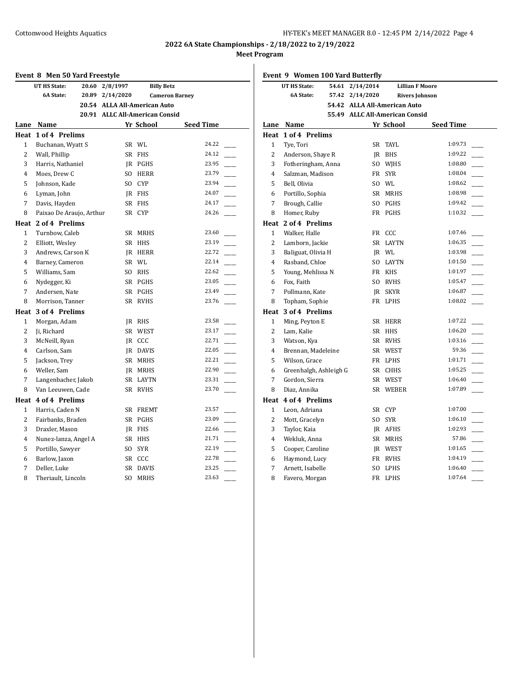# **Event 8 Men 50 Yard Freestyle UT HS State: 20.60 2/8/1997 Billy Betz 6A State: 20.89 2/14/2020 Cameron Barney 20.54 ALLA All-American Auto 20.91 ALLC All-American Consid Lane Name Yr School Seed Time Heat 1 of 4 Prelims** 1 Buchanan, Wyatt S SR WL 24.22 2 Wall, Phillip SR FHS 24.12 3 Harris, Nathaniel JR PGHS 23.95 4 Moes, Drew C SO HERR 23.79 5 Johnson, Kade SO CYP 23.94 6 Lyman, John JR FHS 24.07 7 Davis, Hayden SR FHS 24.17 8 Paixao De Araujo, Arthur SR CYP 24.26 **Heat 2 of 4 Prelims** 1 Turnbow, Caleb SR MRHS 23.60 2 Elliott, Wesley SR HHS 23.19 3 Andrews, Carson K JR HERR 22.72 4 Barney, Cameron SR WL 22.14 5 Williams, Sam SO RHS 22.62 6 Nydegger, Ki SR PGHS 23.05 7 Andersen, Nate SR PGHS 23.49 8 Morrison, Tanner SR RVHS 23.76 **Heat 3 of 4 Prelims** 1 Morgan, Adam JR RHS 23.58 2 Ji, Richard SR WEST 23.17 3 McNeill, Ryan JR CCC 22.71 4 Carlson, Sam JR DAVIS 22.05 5 Jackson, Trey SR MRHS 22.21 6 Weller, Sam JR MRHS 22.90 7 Langenbacher, Jakob SR LAYTN 23.31 8 Van Leeuwen, Cade SR RVHS 23.70 **Heat 4 of 4 Prelims** 1 Harris, Caden N SR FREMT 23.57 2 Fairbanks, Braden SR PGHS 23.09 3 Draxler, Mason JR FHS 22.66 4 Nunez-lanza, Angel A SR HHS 21.71 5 Portillo, Sawyer SO SYR 22.19 6 Barlow, Jaxon SR CCC 22.78 7 Deller, Luke SR DAVIS 23.25 8 Theriault, Lincoln SO MRHS 23.63

|                | Event 9 Women 100 Yard Butterfly |       |                                |              |                        |                          |
|----------------|----------------------------------|-------|--------------------------------|--------------|------------------------|--------------------------|
|                | UT HS State:                     | 54.61 | 2/14/2014                      |              | <b>Lillian F Moore</b> |                          |
|                | <b>6A State:</b>                 |       | 57.42 2/14/2020                |              | <b>Rivers Johnson</b>  |                          |
|                |                                  |       | 54.42 ALLA All-American Auto   |              |                        |                          |
|                |                                  |       | 55.49 ALLC All-American Consid |              |                        |                          |
|                | Lane Name                        |       |                                | Yr School    | <b>Seed Time</b>       |                          |
|                | Heat 1 of 4 Prelims              |       |                                |              |                        |                          |
| $\mathbf{1}$   | Tye, Tori                        |       |                                | SR TAYL      | 1:09.73                |                          |
| $\overline{2}$ | Anderson, Shaye R                |       |                                | JR BHS       | 1:09.22                | $\overline{\phantom{a}}$ |
| 3              | Fotheringham, Anna               |       | SO                             | WJHS         | 1:08.80                |                          |
| $\overline{4}$ | Salzman, Madison                 |       |                                | FR SYR       | 1:08.04                | $\overline{\phantom{a}}$ |
| 5              | Bell, Olivia                     |       |                                | SO WL        | 1:08.62                | $\frac{1}{1}$            |
| 6              | Portillo, Sophia                 |       |                                | SR MRHS      | 1:08.98                |                          |
| 7              | Brough, Callie                   |       | SO.                            | PGHS         | 1:09.42                |                          |
| 8              | Homer, Ruby                      |       |                                | FR PGHS      | 1:10.32                |                          |
|                | Heat 2 of 4 Prelims              |       |                                |              |                        |                          |
| $\mathbf{1}$   | Walker, Halle                    |       |                                | FR CCC       | 1:07.46                |                          |
| 2              | Lamborn, Jackie                  |       |                                | SR LAYTN     | 1:06.35                |                          |
| 3              | Baliguat, Olivia H               |       |                                | JR WL        | 1:03.98                | $\overline{\phantom{a}}$ |
| $\overline{4}$ | Rasband, Chloe                   |       | SO                             | <b>LAYTN</b> | 1:01.50                |                          |
| 5              | Young, Mehlissa N                |       |                                | FR KHS       | 1:01.97                | $\overline{\phantom{a}}$ |
| 6              | Fox, Faith                       |       | SO.                            | <b>RVHS</b>  | 1:05.47                |                          |
| 7              | Pollmann, Kate                   |       | JR.                            | <b>SKYR</b>  | 1:06.87                |                          |
| 8              | Topham, Sophie                   |       |                                | FR LPHS      | 1:08.02                |                          |
|                | Heat 3 of 4 Prelims              |       |                                |              |                        |                          |
| $\mathbf{1}$   | Ming, Peyton E                   |       |                                | SR HERR      | 1:07.22                |                          |
| $\overline{2}$ | Lam, Kalie                       |       | SR                             | <b>HHS</b>   |                        |                          |
| 3              | Watson, Kya                      |       | SR                             | <b>RVHS</b>  | 1:03.16                |                          |
| $\overline{4}$ | Brennan, Madeleine               |       |                                | SR WEST      | 59.36                  | $\frac{1}{2}$            |
| 5              | Wilson, Grace                    |       |                                | FR LPHS      | 1:01.71                | $\frac{1}{2}$            |
| 6              | Greenhalgh, Ashleigh G           |       |                                | SR CHHS      | 1:05.25                |                          |
| 7              | Gordon, Sierra                   |       |                                | SR WEST      | 1:06.40                |                          |
| 8              | Diaz, Annika                     |       |                                | SR WEBER     | 1:07.89                |                          |
|                | Heat 4 of 4 Prelims              |       |                                |              |                        |                          |
| $\mathbf{1}$   | Leon, Adriana                    |       |                                | SR CYP       | 1:07.00                |                          |
| 2              | Mott, Gracelyn                   |       | SO.                            | <b>SYR</b>   | 1:06.10                |                          |
| 3              | Taylor, Kaia                     |       |                                | IR AFHS      | 1:02.93                |                          |
| $\overline{4}$ | Wekluk, Anna                     |       |                                | SR MRHS      | 57.86                  | $\frac{1}{2}$            |
| 5              | Cooper, Caroline                 |       |                                | JR WEST      | 1:01.65                | $\overline{\phantom{a}}$ |
| 6              | Haymond, Lucy                    |       |                                | FR RVHS      | 1:04.19                |                          |
| 7              | Arnett, Isabelle                 |       | SO                             | LPHS         | 1:06.40                |                          |
| 8              | Favero, Morgan                   |       |                                | FR LPHS      | 1:07.64                |                          |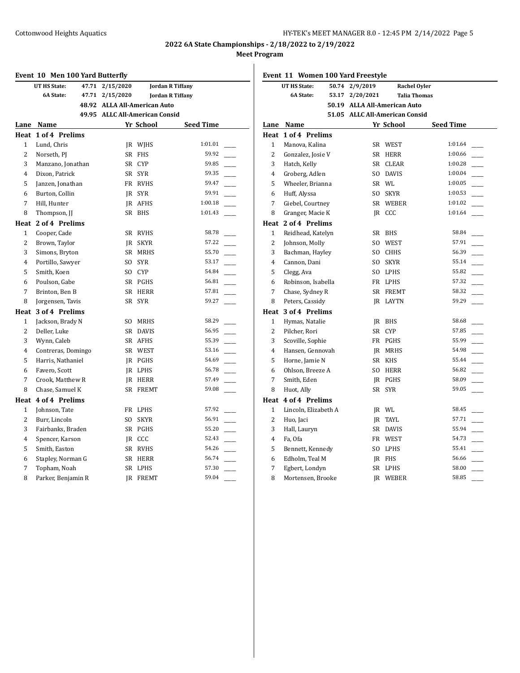# **Event 10 Men 100 Yard Butterfly UT HS State: 47.71 2/15/2020 Jordan R Tiffany 6A State: 47.71 2/15/2020 Jordan R Tiffany 48.92 ALLA All-American Auto 49.95 ALLC All-American Consid Lane Name Yr School Seed Time Heat 1 of 4 Prelims** 1 Lund, Chris **IR WIHS** 1:01.01 2 Norseth, PJ SR FHS 59.92 3 Manzano, Jonathan SR CYP 59.85 4 Dixon, Patrick SR SYR 59.35 5 Janzen, Jonathan FR RVHS 59.47 6 Burton, Collin JR SYR 59.91 7 Hill, Hunter JR AFHS 1:00.18 8 Thompson, JJ SR BHS 1:01.43 **Heat 2 of 4 Prelims** 1 Cooper, Cade SR RVHS 58.78 2 Brown, Taylor JR SKYR 57.22 3 Simons, Bryton SR MRHS 55.70 4 Portillo, Sawyer SO SYR 53.17 5 Smith, Koen SO CYP 54.84 6 Poulson, Gabe SR PGHS 56.81 7 Brinton, Ben B SR HERR 57.81 8 Jorgensen, Tavis SR SYR 59.27 **Heat 3 of 4 Prelims** 1 Jackson, Brady N SO MRHS 58.29 2 Deller, Luke SR DAVIS 56.95 3 Wynn, Caleb SR AFHS 55.39 4 Contreras, Domingo SR WEST 53.16 5 Harris, Nathaniel JR PGHS 54.69 6 Favero, Scott JR LPHS 56.78 7 Crook, Matthew R JR HERR 57.49 8 Chase, Samuel K SR FREMT 59.08 **Heat 4 of 4 Prelims** 1 Johnson, Tate FR LPHS 57.92 2 Burr, Lincoln SO SKYR 56.91 3 Fairbanks, Braden SR PGHS 55.20 4 Spencer, Karson JR CCC 52.43 5 Smith, Easton SR RVHS 54.26 6 Stapley, Norman G SR HERR 56.74 7 Topham, Noah SR LPHS 57.30 8 Parker, Benjamin R JR FREMT 59.04

|                | Event 11 Women 100 Yard Freestyle |       |                                |              |                     |                          |
|----------------|-----------------------------------|-------|--------------------------------|--------------|---------------------|--------------------------|
|                | <b>UT HS State:</b>               | 50.74 | 2/9/2019                       |              | <b>Rachel Oyler</b> |                          |
|                | <b>6A State:</b>                  | 53.17 | 2/20/2021                      |              | <b>Talia Thomas</b> |                          |
|                |                                   |       | 50.19 ALLA All-American Auto   |              |                     |                          |
|                |                                   |       | 51.05 ALLC All-American Consid |              |                     |                          |
| Lane           | Name                              |       |                                | Yr School    | <b>Seed Time</b>    |                          |
|                | Heat 1 of 4 Prelims               |       |                                |              |                     |                          |
| 1              | Manova, Kalina                    |       |                                | SR WEST      | 1:01.64             |                          |
| 2              | Gonzalez, Josie V                 |       | SR                             | HERR         | 1:00.66             |                          |
| 3              | Hatch, Kelly                      |       | SR                             | <b>CLEAR</b> | 1:00.28             |                          |
| $\overline{4}$ | Groberg, Adlen                    |       | SO.                            | <b>DAVIS</b> | 1:00.04             |                          |
| 5              | Wheeler, Brianna                  |       |                                | SR WL        | 1:00.05             |                          |
| 6              | Huff, Alyssa                      |       | SO.                            | <b>SKYR</b>  | 1:00.53             |                          |
| 7              | Giebel, Courtney                  |       |                                | SR WEBER     | 1:01.02             |                          |
| 8              | Granger, Macie K                  |       |                                | JR CCC       | 1:01.64             |                          |
|                | Heat 2 of 4 Prelims               |       |                                |              |                     |                          |
| 1              | Reidhead, Katelyn                 |       | SR                             | BHS          | 58.84               |                          |
| 2              | Johnson, Molly                    |       | SO.                            | WEST         | 57.91               |                          |
| 3              | Bachman, Hayley                   |       | SO.                            | <b>CHHS</b>  | 56.39               |                          |
| 4              | Cannon, Dani                      |       | SO.                            | <b>SKYR</b>  | 55.14               |                          |
| 5              | Clegg, Ava                        |       | SO.                            | LPHS         | 55.82               | $\overline{\phantom{a}}$ |
| 6              | Robinson, Isabella                |       |                                | FR LPHS      | 57.32               |                          |
| 7              | Chase, Sydney R                   |       |                                | SR FREMT     | 58.32               |                          |
| 8              | Peters, Cassidy                   |       | IR                             | LAYTN        | 59.29               |                          |
|                | Heat 3 of 4 Prelims               |       |                                |              |                     |                          |
| 1              | Hymas, Natalie                    |       | IR                             | BHS          | 58.68               |                          |
| $\overline{c}$ | Pilcher, Rori                     |       |                                | SR CYP       | 57.85               |                          |
| 3              | Scoville, Sophie                  |       |                                | FR PGHS      | 55.99               |                          |
| $\overline{4}$ | Hansen, Gennovah                  |       |                                | JR MRHS      | 54.98               |                          |
| 5              | Horne, Jamie N                    |       |                                | SR KHS       | 55.44               | $\overline{\phantom{a}}$ |
| 6              | Ohlson, Breeze A                  |       | SO.                            | HERR         | 56.82               |                          |
| 7              | Smith, Eden                       |       |                                | IR PGHS      | 58.09               |                          |
| 8              | Huot, Ally                        |       |                                | SR SYR       | 59.05               |                          |
|                | <b>Heat 4 of 4 Prelims</b>        |       |                                |              |                     |                          |
| $\mathbf{1}$   | Lincoln, Elizabeth A              |       |                                | IR WL        | 58.45               |                          |
| $\overline{c}$ | Huo, Jaci                         |       |                                | JR TAYL      | 57.71               |                          |
| 3              | Hall, Lauryn                      |       |                                | SR DAVIS     | 55.94               |                          |
| 4              | Fa, Ofa                           |       |                                | FR WEST      | 54.73               |                          |
| 5              | Bennett, Kennedy                  |       | SO.                            | LPHS         | 55.41               | $\overline{\phantom{a}}$ |
| 6              | Edholm, Teal M                    |       |                                | IR FHS       | 56.66               | $\overline{\phantom{a}}$ |
| 7              | Egbert, Londyn                    |       |                                | SR LPHS      | 58.00               |                          |
| 8              | Mortensen, Brooke                 |       |                                | IR WEBER     | 58.85               |                          |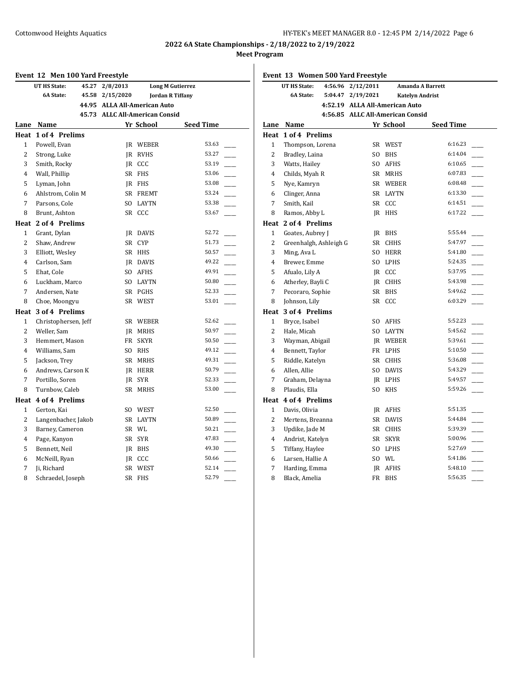# **Event 12 Men 100 Yard Freestyle UT HS State: 45.27 2/8/2013 Long M Gutierrez 6A State: 45.58 2/15/2020 Jordan R Tiffany 44.95 ALLA All-American Auto 45.73 ALLC All-American Consid Lane Name Yr School Seed Time Heat 1 of 4 Prelims** 1 Powell, Evan JR WEBER 53.63 2 Strong, Luke JR RVHS 53.27 3 Smith, Rocky JR CCC 53.19 4 Wall, Phillip SR FHS 53.06 5 Lyman, John JR FHS 53.08 6 Ahlstrom, Colin M SR FREMT 53.24 7 Parsons, Cole SO LAYTN 53.38 8 Brunt, Ashton SR CCC 53.67 **Heat 2 of 4 Prelims** 1 Grant, Dylan JR DAVIS 52.72 2 Shaw, Andrew SR CYP 51.73 3 Elliott, Wesley SR HHS 50.57 4 Carlson, Sam JR DAVIS 49.22 5 Ehat, Cole SO AFHS 49.91 6 Luckham, Marco SO LAYTN 50.80 \_\_\_\_\_ 7 Andersen, Nate SR PGHS 52.33 8 Choe, Moongyu SR WEST 53.01 **Heat 3 of 4 Prelims** 1 Christophersen, Jeff SR WEBER 52.62 2 Weller, Sam JR MRHS 50.97 3 Hemmert, Mason FR SKYR 50.50 4 Williams, Sam SO RHS 49.12 5 Jackson, Trey SR MRHS 49.31 6 Andrews, Carson K JR HERR 50.79 7 Portillo, Soren JR SYR 52.33 8 Turnbow, Caleb SR MRHS 53.00 **Heat 4 of 4 Prelims** 1 Gerton, Kai SO WEST 52.50 2 Langenbacher, Jakob SR LAYTN 50.89 3 Barney, Cameron SR WL 50.21 4 Page, Kanyon SR SYR 47.83 5 Bennett, Neil JR BHS 49.30 6 McNeill, Ryan JR CCC 50.66 7 Ji, Richard SR WEST 52.14 8 Schraedel, Joseph SR FHS 52.79

| Event 13 Women 500 Yard Freestyle |                             |                                  |                 |                                     |  |
|-----------------------------------|-----------------------------|----------------------------------|-----------------|-------------------------------------|--|
|                                   | UT HS State:<br>4:56.96     | 2/12/2011                        |                 | Amanda A Barrett                    |  |
|                                   | <b>6A State:</b><br>5:04.47 | 2/19/2021                        |                 | <b>Katelyn Andrist</b>              |  |
|                                   |                             | 4:52.19 ALLA All-American Auto   |                 |                                     |  |
|                                   |                             | 4:56.85 ALLC All-American Consid |                 |                                     |  |
| Lane                              | Name                        |                                  | Yr School       | <b>Seed Time</b>                    |  |
|                                   | <b>Heat 1 of 4 Prelims</b>  |                                  |                 |                                     |  |
| 1                                 | Thompson, Lorena            |                                  | SR WEST         | 6:16.23                             |  |
| $\overline{2}$                    | Bradley, Laina              | SO.                              | <b>BHS</b>      | 6:14.04                             |  |
| 3                                 | Watts, Hailey               | SO.                              | <b>AFHS</b>     | 6:10.65                             |  |
| $\overline{4}$                    | Childs, Myah R              | SR                               | <b>MRHS</b>     | 6:07.83                             |  |
| 5                                 | Nye, Kamryn                 |                                  | SR WEBER        | 6:08.48<br>$\overline{\phantom{a}}$ |  |
| 6                                 | Clinger, Anna               |                                  | SR LAYTN        | 6:13.30                             |  |
| $\overline{7}$                    | Smith, Kail                 | SR                               | CCC             | 6:14.51                             |  |
| 8                                 | Ramos, Abby L               | IR                               | <b>HHS</b>      | 6:17.22                             |  |
|                                   | Heat 2 of 4 Prelims         |                                  |                 |                                     |  |
| 1                                 | Goates, Aubrey J            |                                  | JR BHS          | 5:55.44                             |  |
| 2                                 | Greenhalgh, Ashleigh G      | SR                               | <b>CHHS</b>     | 5:47.97                             |  |
| 3                                 | Ming, Ava L                 | SO.                              | <b>HERR</b>     | 5:41.80                             |  |
| $\overline{4}$                    | Brewer, Emme                | SO.                              | <b>LPHS</b>     | 5:24.35<br>$\overline{\phantom{a}}$ |  |
| 5                                 | Afualo, Lily A              |                                  | JR CCC          | 5:37.95                             |  |
| 6                                 | Atherley, Bayli C           | IR                               | CHHS            | 5:43.98<br>$\overline{\phantom{a}}$ |  |
| 7                                 | Pecoraro, Sophie            | SR                               | <b>BHS</b>      | 5:49.62                             |  |
| 8                                 | Johnson, Lily               |                                  | SR CCC          | 6:03.29                             |  |
| Heat                              | 3 of 4 Prelims              |                                  |                 |                                     |  |
| 1                                 | Bryce, Isabel               | SO.                              | <b>AFHS</b>     | 5:52.23                             |  |
| $\overline{2}$                    | Hale, Micah                 |                                  | SO LAYTN        | 5:45.62                             |  |
| 3                                 | Wayman, Abigail             |                                  | <b>IR WEBER</b> | 5:39.61                             |  |
| $\overline{4}$                    | Bennett, Taylor             |                                  | FR LPHS         | 5:10.50<br>$\frac{1}{1}$            |  |
| 5                                 | Riddle, Katelyn             |                                  | SR CHHS         | 5:36.08                             |  |
| 6                                 | Allen, Allie                | SO.                              | <b>DAVIS</b>    | 5:43.29                             |  |
| 7                                 | Graham, Delayna             |                                  | JR LPHS         | 5:49.57                             |  |
| 8                                 | Plaudis, Ella               | SO.                              | <b>KHS</b>      | 5:59.26<br>$\overline{\phantom{a}}$ |  |
|                                   | Heat 4 of 4 Prelims         |                                  |                 |                                     |  |
| 1                                 | Davis, Olivia               |                                  | JR AFHS         | 5:51.35                             |  |
| $\overline{2}$                    | Mertens, Breanna            |                                  | SR DAVIS        | 5:44.84                             |  |
| 3                                 | Updike, Jade M              | SR                               | <b>CHHS</b>     | 5:39.39                             |  |
| $\overline{4}$                    | Andrist, Katelyn            | SR -                             | <b>SKYR</b>     | 5:00.96<br>$\overline{\phantom{a}}$ |  |
| 5                                 | Tiffany, Haylee             | SO.                              | LPHS            | 5:27.69                             |  |
| 6                                 | Larsen, Hallie A            |                                  | SO WL           | 5:41.86                             |  |
| 7                                 | Harding, Emma               |                                  | JR AFHS         | 5:48.10                             |  |
| 8                                 | Black, Amelia               |                                  | FR BHS          | 5:56.35                             |  |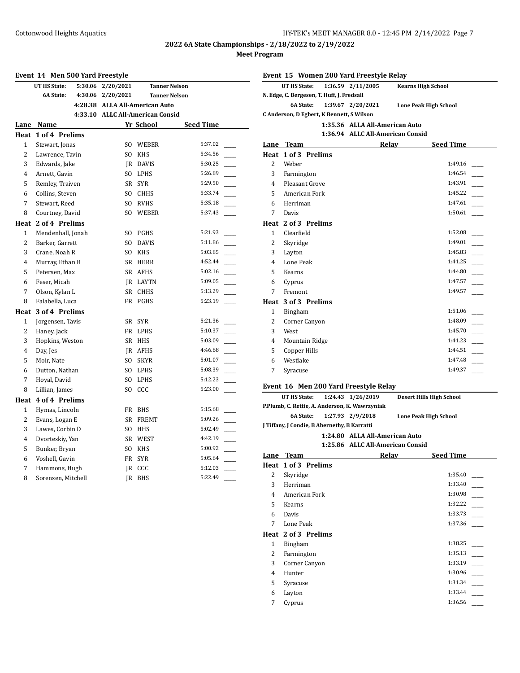| Event 14 Men 500 Yard Freestyle |                                |                   |                                  |           |
|---------------------------------|--------------------------------|-------------------|----------------------------------|-----------|
|                                 | <b>UT HS State:</b><br>5:30.06 | 2/20/2021         | <b>Tanner Nelson</b>             |           |
|                                 | <b>6A State:</b>               | 4:30.06 2/20/2021 | <b>Tanner Nelson</b>             |           |
|                                 |                                |                   | 4:28.38 ALLA All-American Auto   |           |
|                                 |                                |                   | 4:33.10 ALLC All-American Consid |           |
|                                 | Lane Name                      |                   | Yr School                        | Seed Time |
| Heat                            | 1 of 4 Prelims                 |                   |                                  |           |
| $\mathbf{1}$                    | Stewart, Jonas                 | SO.               | WEBER                            | 5:37.02   |
| $\overline{2}$                  | Lawrence, Tavin                | SO.               | <b>KHS</b>                       | 5:34.56   |
| 3                               | Edwards, Jake                  | IR                | DAVIS                            | 5:30.25   |
| 4                               | Arnett, Gavin                  | SO.               | LPHS                             | 5:26.89   |
| 5                               | Remley, Traiven                | SR                | <b>SYR</b>                       | 5:29.50   |
| 6                               | Collins, Steven                | SO.               | <b>CHHS</b>                      | 5:33.74   |
| 7                               | Stewart, Reed                  | SO.               | <b>RVHS</b>                      | 5:35.18   |
| 8                               | Courtney, David                | SO.               | WEBER                            | 5:37.43   |
|                                 | Heat 2 of 4 Prelims            |                   |                                  |           |
| 1                               | Mendenhall, Jonah              | SO.               | PGHS                             | 5:21.93   |
| $\overline{2}$                  | Barker, Garrett                | SO.               | <b>DAVIS</b>                     | 5:11.86   |
| 3                               | Crane, Noah R                  | SO.               | <b>KHS</b>                       | 5:03.85   |
| $\overline{4}$                  | Murray, Ethan B                | SR                | <b>HERR</b>                      | 4:52.44   |
| 5                               | Petersen, Max                  | SR                | AFHS                             | 5:02.16   |
| 6                               | Feser, Micah                   | JR                | LAYTN                            | 5:09.05   |
| 7                               | Olson, Kylan L                 | SR                | <b>CHHS</b>                      | 5:13.29   |
| 8                               | Falabella, Luca                | <b>FR</b>         | <b>PGHS</b>                      | 5:23.19   |
| Heat                            | 3 of 4 Prelims                 |                   |                                  |           |
| $\mathbf{1}$                    | Jorgensen, Tavis               | SR                | <b>SYR</b>                       | 5:21.36   |
| $\overline{2}$                  | Haney, Jack                    | FR                | LPHS                             | 5:10.37   |
| 3                               | Hopkins, Weston                | SR                | <b>HHS</b>                       | 5:03.09   |
| $\overline{4}$                  | Day, Jes                       | IR                | AFHS                             | 4:46.68   |
| 5                               | Moir, Nate                     | SO.               | <b>SKYR</b>                      | 5:01.07   |
| 6                               | Dutton, Nathan                 | SO.               | <b>LPHS</b>                      | 5:08.39   |
| 7                               | Hoyal, David                   | SO.               | LPHS                             | 5:12.23   |
| 8                               | Lillian, James                 | SO.               | CCC                              | 5:23.00   |
|                                 | Heat 4 of 4 Prelims            |                   |                                  |           |
| $\mathbf{1}$                    | Hymas, Lincoln                 | FR                | <b>BHS</b>                       | 5:15.68   |
| 2                               | Evans, Logan E                 | SR                | <b>FREMT</b>                     | 5:09.26   |
| 3                               | Lawes, Corbin D                | SO.               | <b>HHS</b>                       | 5:02.49   |
| 4                               | Dvorteskiy, Yan                | SR                | WEST                             | 4:42.19   |
| 5                               | Bunker, Bryan                  | SO.               | <b>KHS</b>                       | 5:00.92   |
| 6                               | Voshell, Gavin                 | <b>FR</b>         | <b>SYR</b>                       | 5:05.64   |
| 7                               | Hammons, Hugh                  | JR                | CCC                              | 5:12.03   |
| 8                               | Sorensen, Mitchell             | <b>JR</b>         | <b>BHS</b>                       | 5:22.49   |

|                | Event 15 Women 200 Yard Freestyle Relay                               |  |                                |                                  |                  |  |
|----------------|-----------------------------------------------------------------------|--|--------------------------------|----------------------------------|------------------|--|
|                | <b>UT HS State:</b>                                                   |  | 1:36.59 2/11/2005              | <b>Kearns High School</b>        |                  |  |
|                | N. Edge, C. Bergesen, T. Huff, J. Fredsall                            |  |                                |                                  |                  |  |
|                | <b>6A State:</b><br>1:39.67 2/20/2021<br><b>Lone Peak High School</b> |  |                                |                                  |                  |  |
|                | C Anderson, D Egbert, K Bennett, S Wilson                             |  |                                |                                  |                  |  |
|                |                                                                       |  | 1:35.36 ALLA All-American Auto |                                  |                  |  |
|                |                                                                       |  |                                | 1:36.94 ALLC All-American Consid |                  |  |
|                | Lane Team                                                             |  |                                | Relay                            | <b>Seed Time</b> |  |
|                | Heat 1 of 3 Prelims                                                   |  |                                |                                  |                  |  |
| 2              | Weber                                                                 |  |                                |                                  | 1:49.16          |  |
| 3              | Farmington                                                            |  |                                |                                  | 1:46.54          |  |
| 4              | Pleasant Grove                                                        |  |                                |                                  | 1:43.91          |  |
| 5              | American Fork                                                         |  |                                |                                  | 1:45.22          |  |
| 6              | Herriman                                                              |  |                                |                                  | 1:47.61          |  |
| 7              | Davis                                                                 |  |                                |                                  | 1:50.61          |  |
|                | Heat 2 of 3 Prelims                                                   |  |                                |                                  |                  |  |
| 1              | Clearfield                                                            |  |                                |                                  | 1:52.08          |  |
| 2              | Skyridge                                                              |  |                                |                                  | 1:49.01          |  |
| 3              | Layton                                                                |  |                                |                                  | 1:45.83          |  |
| 4              | Lone Peak                                                             |  |                                |                                  | 1:41.25          |  |
| 5              | Kearns                                                                |  |                                |                                  | 1:44.80          |  |
| 6              | Cyprus                                                                |  |                                |                                  | 1:47.57          |  |
| 7              | Fremont                                                               |  |                                |                                  | 1:49.57          |  |
|                | Heat 3 of 3 Prelims                                                   |  |                                |                                  |                  |  |
| 1              | Bingham                                                               |  |                                |                                  | 1:51.06          |  |
| $\overline{c}$ | Corner Canyon                                                         |  |                                |                                  | 1:48.09          |  |
| 3              | West                                                                  |  |                                |                                  | 1:45.70          |  |
| 4              | Mountain Ridge                                                        |  |                                |                                  | 1:41.23          |  |
| 5              | <b>Copper Hills</b>                                                   |  |                                |                                  | 1:44.51          |  |
| 6              | Westlake                                                              |  |                                |                                  | 1:47.48          |  |
| 7              | Syracuse                                                              |  |                                |                                  | 1:49.37          |  |
|                | Event 16 Men 200 Yard Freestyle Relay                                 |  |                                |                                  |                  |  |

**UT HS State: 1:24.43 1/26/2019 Desert Hills High School**

**P.Plumb, C. Rettie, A. Anderson, K. Wawrzyniak**

**6A State: 1:27.93 2/9/2018 Lone Peak High School**

**J Tiffany, J Condie, B Abernethy, B Karratti**

**1:24.80 ALLA All-American Auto 1:25.86 ALLC All-American Consid**

|      |                     | <i><b>THE THE THILL I CAIL COLLSTA</b></i> |                  |
|------|---------------------|--------------------------------------------|------------------|
| Lane | <b>Team</b>         | Relay                                      | <b>Seed Time</b> |
|      | Heat 1 of 3 Prelims |                                            |                  |
| 2    | Skyridge            |                                            | 1:35.40          |
| 3    | Herriman            |                                            | 1:33.40          |
| 4    | American Fork       |                                            | 1:30.98          |
| 5    | Kearns              |                                            | 1:32.22          |
| 6    | Davis               |                                            | 1:33.73          |
| 7    | Lone Peak           |                                            | 1:37.36          |
|      | Heat 2 of 3 Prelims |                                            |                  |
| 1    | Bingham             |                                            | 1:38.25          |
| 2    | Farmington          |                                            | 1:35.13          |
| 3    | Corner Canyon       |                                            | 1:33.19          |
| 4    | Hunter              |                                            | 1:30.96          |
| 5    | Syracuse            |                                            | 1:31.34          |
| 6    | Layton              |                                            | 1:33.44          |
| 7    | Cyprus              |                                            | 1:36.56          |
|      |                     |                                            |                  |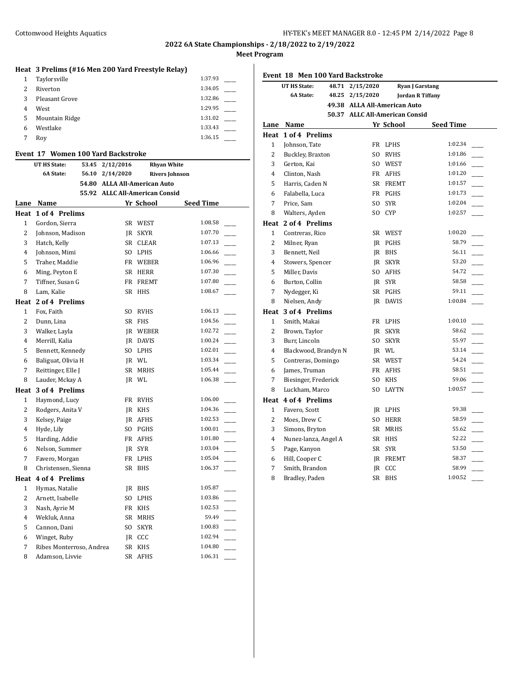**2022 6A State Championships - 2/18/2022 to 2/19/2022**

**Meet Program**

## **Heat 3 Prelims (#16 Men 200 Yard Freestyle Relay)**

|   | Taylorsville   | 1:37.93 |
|---|----------------|---------|
| 2 | Riverton       | 1:34.05 |
| 3 | Pleasant Grove | 1:32.86 |
| 4 | West           | 1:29.95 |
| 5 | Mountain Ridge | 1:31.02 |
| 6 | Westlake       | 1:33.43 |
|   | Roy            | 1:36.15 |

#### **Event 17 Women 100 Yard Backstroke**

|              | . .<br>women 100 iaiu backsu okc |                                    |                                                                |                  |
|--------------|----------------------------------|------------------------------------|----------------------------------------------------------------|------------------|
|              | UT HS State:<br>6A State:        | 53.45 2/12/2016<br>56.10 2/14/2020 | <b>Rhyan White</b>                                             |                  |
|              |                                  |                                    | <b>Rivers Johnson</b>                                          |                  |
|              |                                  |                                    | 54.80 ALLA All-American Auto<br>55.92 ALLC All-American Consid |                  |
|              |                                  |                                    | Yr School                                                      | <b>Seed Time</b> |
|              | Lane Name<br>Heat 1 of 4 Prelims |                                    |                                                                |                  |
| $\mathbf{1}$ | Gordon, Sierra                   |                                    | SR WEST                                                        | 1:08.58          |
| 2            | Johnson, Madison                 |                                    | IR SKYR                                                        | 1:07.70          |
| 3            | Hatch, Kelly                     |                                    | SR CLEAR                                                       | 1:07.13          |
| 4            | Johnson, Mimi                    |                                    | SO LPHS                                                        | 1:06.66          |
| 5            | Traher, Maddie                   |                                    | FR WEBER                                                       | 1:06.96          |
| 6            | Ming, Peyton E                   |                                    | SR HERR                                                        | 1:07.30          |
| 7            | Tiffner, Susan G                 |                                    | FR FREMT                                                       | 1:07.80          |
| 8            | Lam, Kalie                       | SR -                               | <b>HHS</b>                                                     | 1:08.67          |
|              | Heat 2 of 4 Prelims              |                                    |                                                                |                  |
| $\mathbf{1}$ | Fox, Faith                       | SO.                                | RVHS                                                           | 1:06.13          |
| 2            | Dunn, Lina                       |                                    | SR FHS                                                         | 1:04.56          |
| 3            | Walker, Layla                    |                                    | <b>IR WEBER</b>                                                | 1:02.72          |
| 4            | Merrill, Kalia                   |                                    | <b>IR DAVIS</b>                                                | 1:00.24          |
| 5            | Bennett, Kennedy                 |                                    | SO LPHS                                                        | 1:02.01          |
| 6            | Baliguat, Olivia H               |                                    | JR WL                                                          | 1:03.34          |
| 7            | Reittinger, Elle J               |                                    | SR MRHS                                                        | 1:05.44          |
| 8            | Lauder, Mckay A                  |                                    | JR WL                                                          | 1:06.38          |
| Heat         | 3 of 4 Prelims                   |                                    |                                                                |                  |
| 1            | Haymond, Lucy                    |                                    | FR RVHS                                                        | 1:06.00          |
| 2            | Rodgers, Anita V                 |                                    | IR KHS                                                         | 1:04.36          |
| 3            | Kelsey, Paige                    |                                    | IR AFHS                                                        | 1:02.53          |
| 4            | Hyde, Lily                       |                                    | SO PGHS                                                        | 1:00.01          |
| 5            | Harding, Addie                   |                                    | FR AFHS                                                        | 1:01.80          |
| 6            | Nelson, Summer                   |                                    | IR SYR                                                         | 1:03.04          |
| 7            | Favero, Morgan                   |                                    | FR LPHS                                                        | 1:05.04          |
| 8            | Christensen, Sienna              | SR                                 | <b>BHS</b>                                                     | 1:06.37          |
|              | Heat 4 of 4 Prelims              |                                    |                                                                |                  |
| $\mathbf{1}$ | Hymas, Natalie                   |                                    | IR BHS                                                         | 1:05.87          |
| 2            | Arnett, Isabelle                 |                                    | SO LPHS                                                        | 1:03.86          |
| 3            | Nash, Ayrie M                    |                                    | FR KHS                                                         | 1:02.53          |
| 4            | Wekluk. Anna                     |                                    | SR MRHS                                                        | 59.49            |
| 5            | Cannon, Dani                     |                                    | SO SKYR                                                        | 1:00.83          |
| 6            | Winget, Ruby                     |                                    | JR CCC                                                         | 1:02.94          |
| 7            | Ribes Monterroso, Andrea         |                                    | SR KHS                                                         | 1:04.80          |
| 8            | Adamson, Livvie                  | <b>SR</b>                          | <b>AFHS</b>                                                    | 1:06.31          |

| Event 18 Men 100 Yard Backstroke |                           |                                |              |                                   |  |
|----------------------------------|---------------------------|--------------------------------|--------------|-----------------------------------|--|
|                                  | <b>UT HS State:</b>       | 48.71 2/15/2020                |              | <b>Ryan J Garstang</b>            |  |
|                                  | <b>6A State:</b><br>48.25 | 2/15/2020                      |              | <b>Jordan R Tiffany</b>           |  |
|                                  |                           | 49.38 ALLA All-American Auto   |              |                                   |  |
|                                  |                           | 50.37 ALLC All-American Consid |              |                                   |  |
|                                  | Lane Name                 |                                | Yr School    | <b>Seed Time</b>                  |  |
|                                  | Heat 1 of 4 Prelims       |                                |              |                                   |  |
| $\mathbf{1}$                     | Johnson, Tate             |                                | FR LPHS      | 1:02.34                           |  |
| $\overline{2}$                   | Buckley, Braxton          | S <sub>O</sub>                 | <b>RVHS</b>  | 1:01.86<br>$\sim$                 |  |
| 3                                | Gerton, Kai               |                                | SO WEST      | 1:01.66                           |  |
| $\overline{4}$                   | Clinton, Nash             |                                | FR AFHS      | 1:01.20                           |  |
| 5                                | Harris, Caden N           |                                | SR FREMT     | 1:01.57                           |  |
| 6                                | Falabella, Luca           |                                | FR PGHS      | 1:01.73                           |  |
| 7                                | Price, Sam                | SO.                            | <b>SYR</b>   | 1:02.04                           |  |
| 8                                | Walters, Ayden            | SO.                            | <b>CYP</b>   | 1:02.57                           |  |
|                                  | Heat 2 of 4 Prelims       |                                |              |                                   |  |
| $\mathbf{1}$                     | Contreras, Rico           |                                | SR WEST      | 1:00.20                           |  |
| $\overline{2}$                   | Milner, Ryan              |                                | IR PGHS      | 58.79                             |  |
| 3                                | Bennett, Neil             |                                | JR BHS       | 56.11<br>$\overline{\phantom{a}}$ |  |
| 4                                | Stowers, Spencer          |                                | JR SKYR      | 53.20                             |  |
| 5                                | Miller, Davis             |                                | SO AFHS      | 54.72                             |  |
| 6                                | Burton, Collin            | IR                             | <b>SYR</b>   | 58.58                             |  |
| 7                                | Nydegger, Ki              |                                | SR PGHS      | 59.11                             |  |
| 8                                | Nielsen, Andy             | JR                             | <b>DAVIS</b> | 1:00.84                           |  |
| Heat                             | 3 of 4 Prelims            |                                |              |                                   |  |
| $\mathbf{1}$                     | Smith, Makai              |                                | FR LPHS      | 1:00.10                           |  |
| 2                                | Brown, Taylor             | IR                             | <b>SKYR</b>  | 58.62                             |  |
| 3                                | Burr, Lincoln             | SO.                            | <b>SKYR</b>  | 55.97<br>$\overline{\phantom{a}}$ |  |
| $\overline{4}$                   | Blackwood, Brandyn N      |                                | JR WL        | 53.14<br>$\overline{\phantom{a}}$ |  |
| 5                                | Contreras, Domingo        |                                | SR WEST      | 54.24                             |  |
| 6                                | James, Truman             |                                | FR AFHS      | 58.51                             |  |
| 7                                | Biesinger, Frederick      | SO.                            | <b>KHS</b>   | 59.06                             |  |
| 8                                | Luckham, Marco            | SO.                            | <b>LAYTN</b> | 1:00.57                           |  |
|                                  | Heat 4 of 4 Prelims       |                                |              |                                   |  |
| $\mathbf{1}$                     | Favero, Scott             |                                | JR LPHS      | 59.38                             |  |
| $\overline{2}$                   | Moes, Drew C              | SO.                            | <b>HERR</b>  | 58.59                             |  |
| 3                                | Simons, Bryton            | SR -                           | <b>MRHS</b>  | 55.62<br>$\overline{\phantom{a}}$ |  |
| $\overline{4}$                   | Nunez-lanza, Angel A      |                                | SR HHS       | 52.22<br>$\frac{1}{1}$            |  |
| 5                                | Page, Kanyon              |                                | SR SYR       | 53.50                             |  |
| 6                                | Hill, Cooper C            |                                | JR FREMT     | 58.37                             |  |
| $\overline{7}$                   | Smith, Brandon            |                                | JR CCC       | 58.99                             |  |
| 8                                | Bradley, Paden            | SR                             | <b>BHS</b>   | 1:00.52                           |  |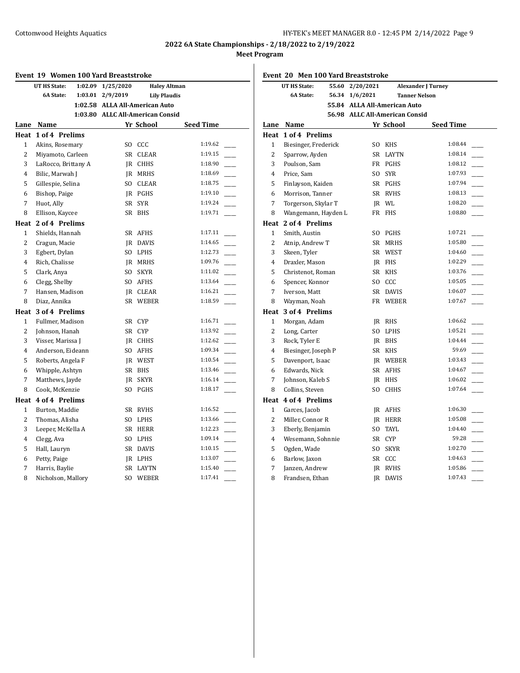|                | <b>Event 19 Women 100 Yard Breaststroke</b> |                                  |                     |                     |  |  |
|----------------|---------------------------------------------|----------------------------------|---------------------|---------------------|--|--|
|                | 1:02.09<br>UT HS State:                     | 1/25/2020                        |                     | <b>Haley Altman</b> |  |  |
|                | <b>6A State:</b><br>1:03.01                 | 2/9/2019                         | <b>Lily Plaudis</b> |                     |  |  |
|                |                                             | 1:02.58 ALLA All-American Auto   |                     |                     |  |  |
|                |                                             | 1:03.80 ALLC All-American Consid |                     |                     |  |  |
|                | Lane Name                                   |                                  | Yr School           | <b>Seed Time</b>    |  |  |
|                | Heat 1 of 4 Prelims                         |                                  |                     |                     |  |  |
| $\mathbf{1}$   | Akins, Rosemary                             |                                  | SO CCC              | 1:19.62             |  |  |
| $\overline{2}$ | Miyamoto, Carleen                           | SR                               | <b>CLEAR</b>        | 1:19.15             |  |  |
| 3              | LaRocco, Brittany A                         |                                  | IR CHHS             | 1:18.90             |  |  |
| 4              | Bilic, Marwah J                             |                                  | <b>IR MRHS</b>      | 1:18.69             |  |  |
| 5              | Gillespie, Selina                           |                                  | SO CLEAR            | 1:18.75             |  |  |
| 6              | Bishop, Paige                               |                                  | JR PGHS             | 1:19.10             |  |  |
| 7              | Huot, Ally                                  |                                  | SR SYR              | 1:19.24             |  |  |
| 8              | Ellison, Kaycee                             | SR                               | <b>BHS</b>          | 1:19.71             |  |  |
|                | Heat 2 of 4 Prelims                         |                                  |                     |                     |  |  |
| $\mathbf 1$    | Shields, Hannah                             |                                  | SR AFHS             | 1:17.11             |  |  |
| $\overline{2}$ | Cragun, Macie                               | IR                               | <b>DAVIS</b>        | 1:14.65             |  |  |
| 3              | Egbert, Dylan                               |                                  | SO LPHS             | 1:12.73             |  |  |
| 4              | Rich, Chalisse                              |                                  | <b>IR MRHS</b>      | 1:09.76             |  |  |
| 5              | Clark, Anya                                 | SO.                              | SKYR                | 1:11.02             |  |  |
| 6              | Clegg, Shelby                               | SO.                              | AFHS                | 1:13.64             |  |  |
| 7              | Hansen, Madison                             |                                  | IR CLEAR            | 1:16.21             |  |  |
| 8              | Diaz, Annika                                | SR                               | WEBER               | 1:18.59             |  |  |
|                | Heat 3 of 4 Prelims                         |                                  |                     |                     |  |  |
| $\mathbf{1}$   | Fullmer, Madison                            |                                  | SR CYP              | 1:16.71             |  |  |
| 2              | Johnson, Hanah                              |                                  | SR CYP              | 1:13.92             |  |  |
| 3              | Visser, Marissa J                           |                                  | JR CHHS             | 1:12.62             |  |  |
| $\overline{4}$ | Anderson, Eideann                           | SO.                              | AFHS                | 1:09.34             |  |  |
| 5              | Roberts, Angela F                           |                                  | JR WEST             | 1:10.54             |  |  |
| 6              | Whipple, Ashtyn                             |                                  | SR BHS              | 1:13.46             |  |  |
| 7              | Matthews, Jayde                             | IR                               | <b>SKYR</b>         | 1:16.14             |  |  |
| 8              | Cook, McKenzie                              | SO.                              | PGHS                | 1:18.17             |  |  |
|                | Heat 4 of 4 Prelims                         |                                  |                     |                     |  |  |
| 1              | Burton, Maddie                              |                                  | SR RVHS             | 1:16.52             |  |  |
| $\overline{c}$ | Thomas, Alisha                              | SO.                              | LPHS                | 1:13.66             |  |  |
| 3              | Leeper, McKella A                           |                                  | SR HERR             | 1:12.23             |  |  |
| $\overline{4}$ | Clegg, Ava                                  | SO.                              | LPHS                | 1:09.14             |  |  |
| 5              | Hall, Lauryn                                |                                  | SR DAVIS            | 1:10.15             |  |  |
| 6              | Petty, Paige                                |                                  | IR LPHS             | 1:13.07             |  |  |
| 7              | Harris, Baylie                              | <b>SR</b>                        | LAYTN               | 1:15.40             |  |  |
| 8              | Nicholson, Mallory                          | SO.                              | WEBER               | 1:17.41             |  |  |

|                | Event 20 Men 100 Yard Breaststroke                                     |                                |                |                      |  |  |
|----------------|------------------------------------------------------------------------|--------------------------------|----------------|----------------------|--|--|
|                | <b>UT HS State:</b><br>2/20/2021<br>55.60<br><b>Alexander J Turney</b> |                                |                |                      |  |  |
|                | 6A State:<br>56.34                                                     | 1/6/2021                       |                | <b>Tanner Nelson</b> |  |  |
|                |                                                                        | 55.84 ALLA All-American Auto   |                |                      |  |  |
|                |                                                                        | 56.98 ALLC All-American Consid |                |                      |  |  |
|                | Lane Name                                                              |                                | Yr School      | <b>Seed Time</b>     |  |  |
|                | Heat 1 of 4 Prelims                                                    |                                |                |                      |  |  |
| 1              | Biesinger, Frederick                                                   |                                | SO KHS         | 1:08.44              |  |  |
| $\overline{2}$ | Sparrow, Ayden                                                         |                                | SR LAYTN       | 1:08.14              |  |  |
| 3              | Poulson, Sam                                                           |                                | FR PGHS        | 1:08.12              |  |  |
| $\overline{4}$ | Price, Sam                                                             | SO.                            | <b>SYR</b>     | 1:07.93              |  |  |
| 5              | Finlayson, Kaiden                                                      |                                | SR PGHS        | 1:07.94              |  |  |
| 6              | Morrison, Tanner                                                       |                                | SR RVHS        | 1:08.13              |  |  |
| 7              | Torgerson, Skylar T                                                    |                                | IR WL          | 1:08.20              |  |  |
| 8              | Wangemann, Hayden L                                                    |                                | FR FHS         | 1:08.80              |  |  |
|                | Heat 2 of 4 Prelims                                                    |                                |                |                      |  |  |
| 1              | Smith, Austin                                                          |                                | SO PGHS        | 1:07.21              |  |  |
| 2              | Atnip, Andrew T                                                        |                                | SR MRHS        | 1:05.80              |  |  |
| 3              | Skeen, Tyler                                                           |                                | SR WEST        | 1:04.60              |  |  |
| 4              | Draxler, Mason                                                         |                                | JR FHS         | 1:02.29              |  |  |
| 5              | Christenot, Roman                                                      |                                | SR KHS         | 1:03.76              |  |  |
| 6              | Spencer, Konnor                                                        |                                | SO CCC         | 1:05.05              |  |  |
| 7              | Iverson, Matt                                                          |                                | SR DAVIS       | 1:06.07              |  |  |
| 8              | Wayman, Noah                                                           |                                | FR WEBER       | 1:07.67              |  |  |
|                | Heat 3 of 4 Prelims                                                    |                                |                |                      |  |  |
| 1              | Morgan, Adam                                                           |                                | IR RHS         | 1:06.62              |  |  |
| $\overline{2}$ | Long, Carter                                                           |                                | SO LPHS        | 1:05.21              |  |  |
| 3              | Rock, Tyler E                                                          |                                | IR BHS         | 1:04.44              |  |  |
| $\overline{4}$ | Biesinger, Joseph P                                                    |                                | SR KHS         | 59.69                |  |  |
| 5              | Davenport, Isaac                                                       |                                | JR WEBER       | 1:03.43              |  |  |
| 6              | Edwards, Nick                                                          |                                | SR AFHS        | 1:04.67              |  |  |
| 7              | Johnson, Kaleb S                                                       |                                | JR HHS         | 1:06.02              |  |  |
| 8              | Collins, Steven                                                        | S <sub>O</sub>                 | <b>CHHS</b>    | 1:07.64              |  |  |
|                | Heat 4 of 4 Prelims                                                    |                                |                |                      |  |  |
| $\mathbf{1}$   | Garces, Jacob                                                          |                                | JR AFHS        | 1:06.30              |  |  |
| 2              | Miller, Connor R                                                       |                                | <b>IR HERR</b> | 1:05.08              |  |  |
| 3              | Eberly, Benjamin                                                       | SO.                            | TAYL           | 1:04.40              |  |  |
| 4              | Wesemann, Sohnnie                                                      |                                | SR CYP         | 59.28                |  |  |
| 5              | Ogden, Wade                                                            | SO.                            | <b>SKYR</b>    | 1:02.70              |  |  |
| 6              | Barlow, Jaxon                                                          |                                | SR CCC         | 1:04.63              |  |  |
| 7              | Janzen, Andrew                                                         |                                | JR RVHS        | 1:05.86              |  |  |
| 8              | Frandsen, Ethan                                                        | IR                             | DAVIS          | 1:07.43              |  |  |